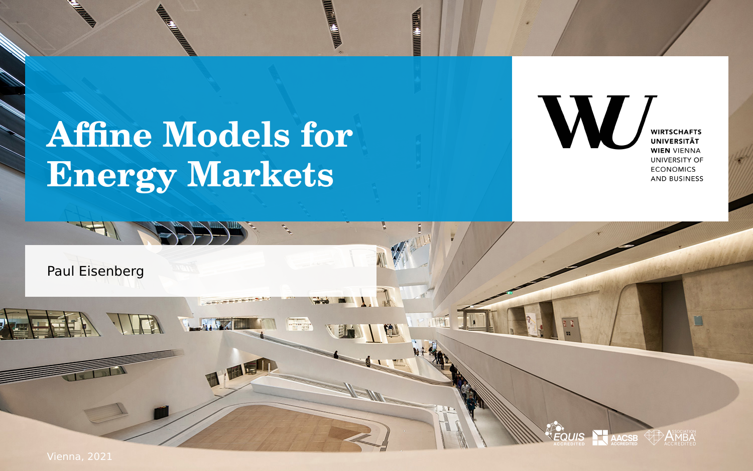# **Affine Models for Energy Markets**



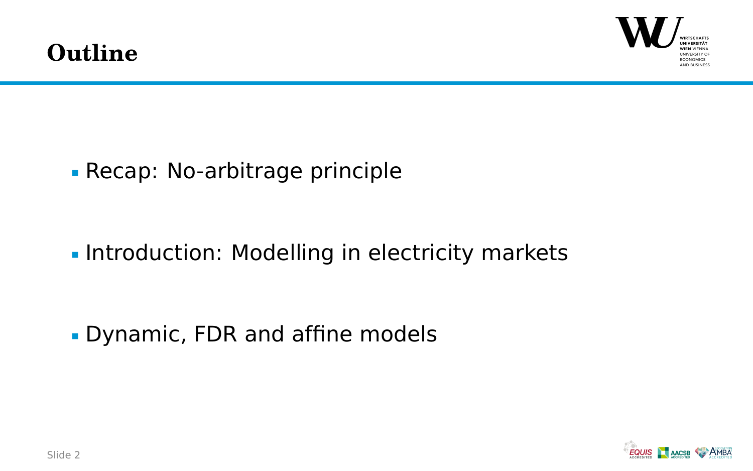

**[Recap: No-arbitrage principle](#page-2-0)** 

**[Introduction: Modelling in electricity markets](#page-3-0)** 

[Dynamic, FDR and affine models](#page-9-0)

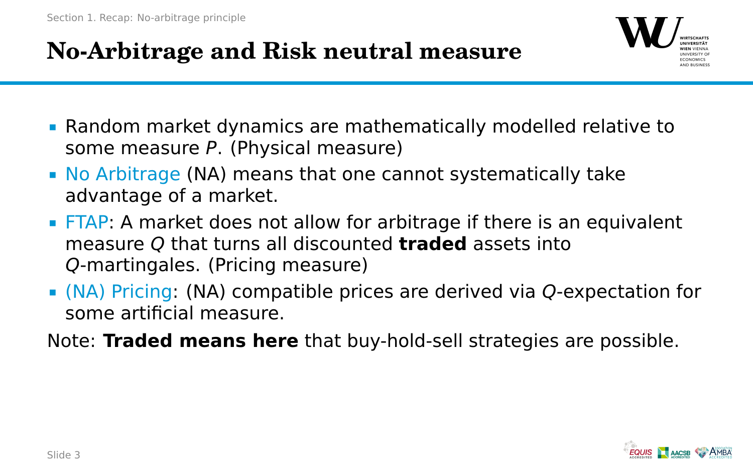## <span id="page-2-0"></span>**No-Arbitrage and Risk neutral measure**



- Random market dynamics are mathematically modelled relative to some measure P. (Physical measure)
- No Arbitrage (NA) means that one cannot systematically take advantage of a market.
- FTAP: A market does not allow for arbitrage if there is an equivalent measure Q that turns all discounted **traded** assets into Q-martingales. (Pricing measure)
- (NA) Pricing: (NA) compatible prices are derived via Q-expectation for some artificial measure.
- Note: **Traded means here** that buy-hold-sell strategies are possible.

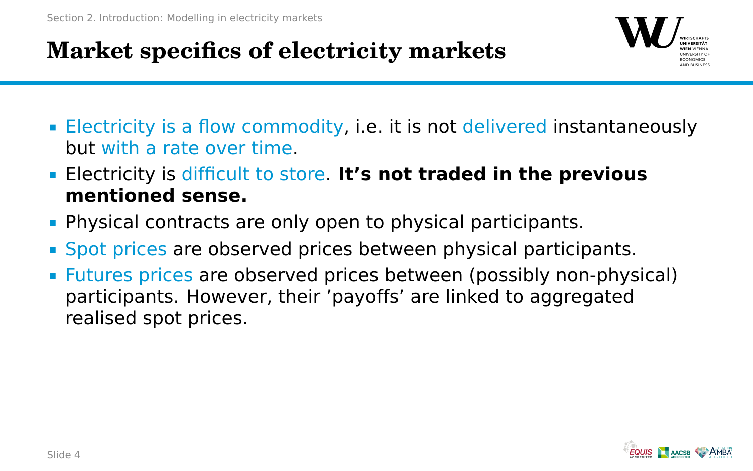## <span id="page-3-0"></span>**Market specifics of electricity markets**



- Electricity is a flow commodity, i.e. it is not delivered instantaneously but with a rate over time.
- Electricity is difficult to store. **It's not traded in the previous mentioned sense.**
- **Physical contracts are only open to physical participants.**
- Spot prices are observed prices between physical participants.
- Futures prices are observed prices between (possibly non-physical) participants. However, their 'payoffs' are linked to aggregated realised spot prices.

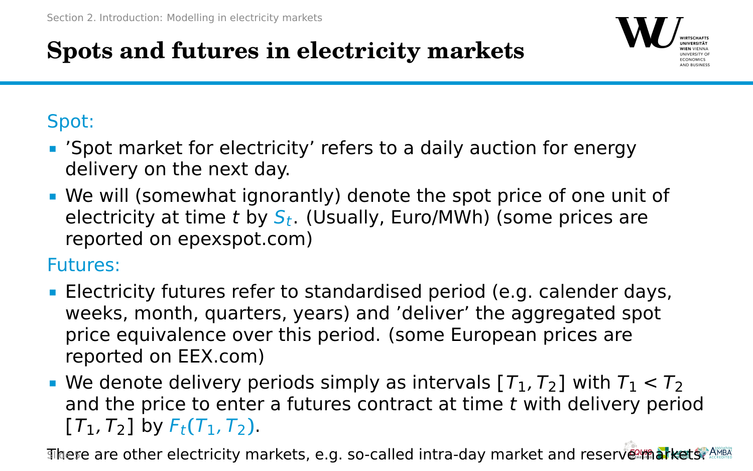## **Spots and futures in electricity markets**



#### Spot:

- 'Spot market for electricity' refers to a daily auction for energy delivery on the next day.
- We will (somewhat ignorantly) denote the spot price of one unit of electricity at time t by  $S_t$ . (Usually, Euro/MWh) (some prices are reported on epexspot.com)

Futures:

- Electricity futures refer to standardised period (e.g. calender days, weeks, month, quarters, years) and 'deliver' the aggregated spot price equivalence over this period. (some European prices are reported on EEX.com)
- We denote delivery periods simply as intervals  $[T_1, T_2]$  with  $T_1 < T_2$ and the price to enter a futures contract at time t with delivery period  $[T_1, T_2]$  by  $F_t(T_1, T_2)$ .

There are other electricity markets, e.g. so-called intra-day market and reserve markets. Also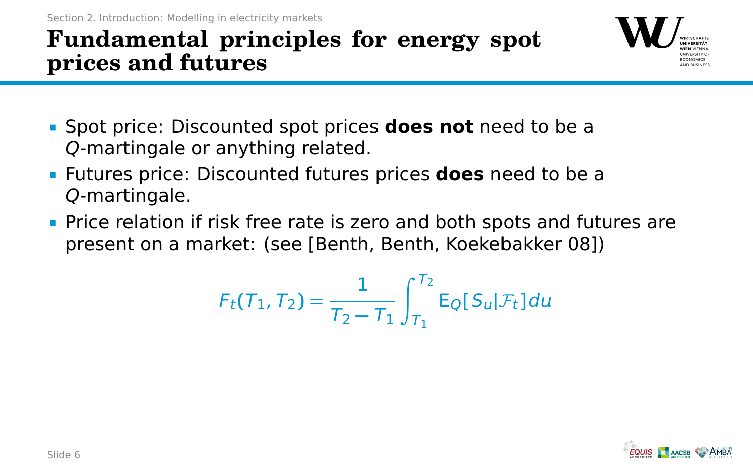### **Fundamental principles for energy spot prices and futures**



- Spot price: Discounted spot prices **does not** need to be a Q-martingale or anything related.
- Futures price: Discounted futures prices **does** need to be a Q-martingale.
- Price relation if risk free rate is zero and both spots and futures are present on a market: (see [Benth, Benth, Koekebakker 08])

$$
F_t(T_1, T_2) = \frac{1}{T_2 - T_1} \int_{T_1}^{T_2} E_Q[S_u | \mathcal{F}_t] du
$$

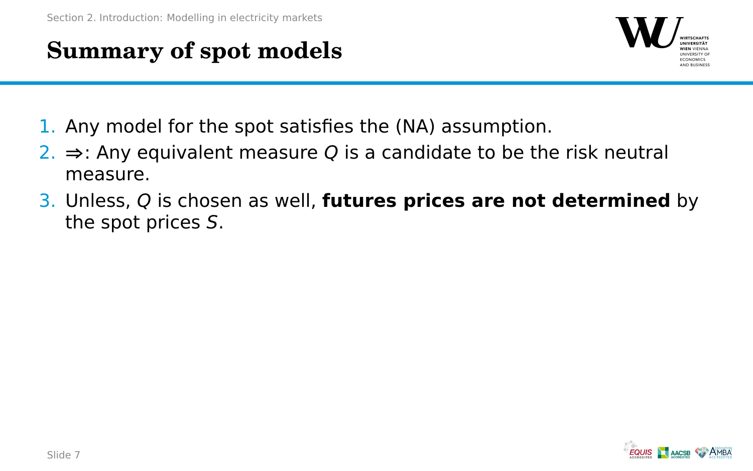## **Summary of spot models**



- 1. Any model for the spot satisfies the (NA) assumption.
- 2. **⇒**: Any equivalent measure Q is a candidate to be the risk neutral measure.
- 3. Unless, Q is chosen as well, **futures prices are not determined** by the spot prices S.

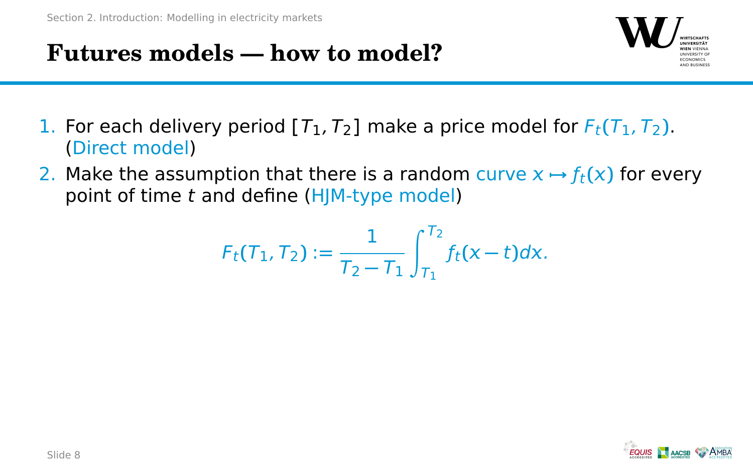## **Futures models — how to model?**



- 1. For each delivery period  $[T_1, T_2]$  make a price model for  $F_t(T_1, T_2)$ . (Direct model)
- 2. Make the assumption that there is a random curve  $x \mapsto f_t(x)$  for every point of time t and define (HJM-type model)

$$
F_t(T_1,T_2):=\frac{1}{T_2-T_1}\int_{T_1}^{T_2}f_t(x-t)dx.
$$

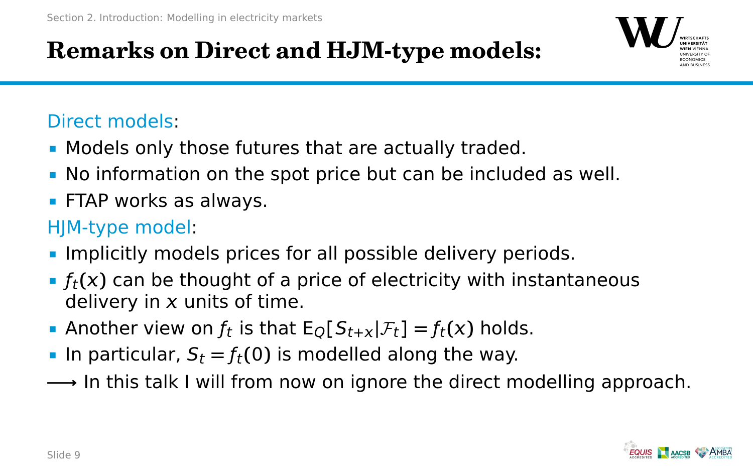

#### Direct models:

- **Models only those futures that are actually traded.**
- No information on the spot price but can be included as well.
- **FTAP works as always.**

#### HJM-type model:

- **Implicitly models prices for all possible delivery periods.**
- $f_t(x)$  can be thought of a price of electricity with instantaneous delivery in  $x$  units of time.
- **•** Another view on  $f_t$  is that  $E_Q[S_{t+x}|\mathcal{F}_t] = f_t(x)$  holds.
- **IF** In particular,  $S_t = f_t(0)$  is modelled along the way.
- **−→** In this talk I will from now on ignore the direct modelling approach.

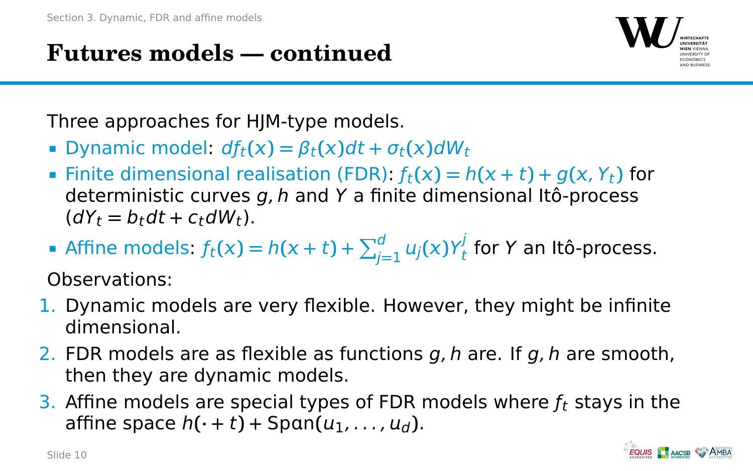## <span id="page-9-0"></span>**Futures models — continued**



Three approaches for HJM-type models.

- $\bullet$  Dynamic model:  $df_t(x) = \beta_t(x)dt + \sigma_t(x)dW_t$
- Finite dimensional realisation (FDR):  $f_t(x) = h(x + t) + g(x, Y_t)$  for deterministic curves  $a$ , h and Y a finite dimensional Itô-process  $(dY_t = b_t dt + c_t dW_t).$
- Affine models:  $f_t(x) = h(x + t) + \sum_{j=1}^d u_j(x)Y_t^j$  $\frac{d}{dt}$  for Y an Itô-process.

Observations:

- 1. Dynamic models are very flexible. However, they might be infinite dimensional.
- 2. FDR models are as flexible as functions  $q, h$  are. If  $q, h$  are smooth, then they are dynamic models.
- 3. Affine models are special types of FDR models where  $f_t$  stays in the affine space  $h(\cdot + t)$  + Span $(u_1, \ldots, u_d)$ .

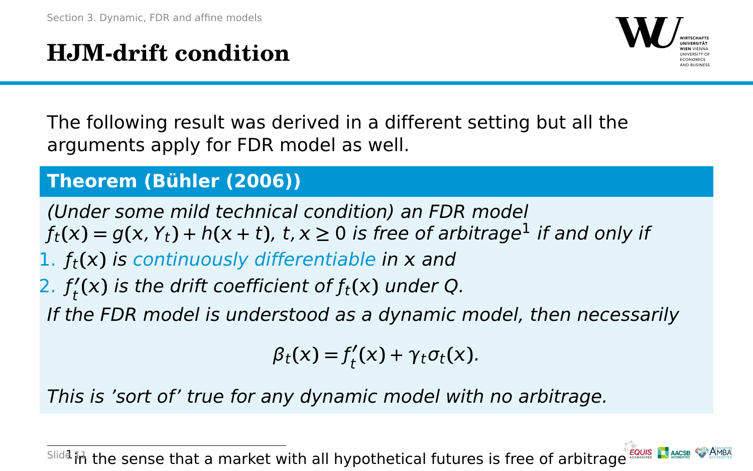## **HJM-drift condition**



The following result was derived in a different setting but all the arguments apply for FDR model as well.

#### **Theorem (Bühler (2006))**

(Under some mild technical condition) an FDR model  $f_t(x) = g(x, Y_t) + h(x + t)$ ,  $t, x \ge 0$  is free of arbitrage<sup>1</sup> if and only if

- 1.  $f_t(x)$  is continuously differentiable in  $x$  and
- $2. f'_t$  $t_{\mathsf{t}}^{\prime}(\mathsf{x})$  is the drift coefficient of  $f_{\mathsf{t}}(\mathsf{x})$  under Q.

If the FDR model is understood as a dynamic model, then necessarily

 $\beta_t(x) = f'_t$  $\gamma_t^{\prime}(x) + \gamma_t \sigma_t(x)$ .

This is 'sort of' true for any dynamic model with no arbitrage.

Slida<sub>th</sub> the sense that a market with all hypothetical futures is free of arbitrage Fours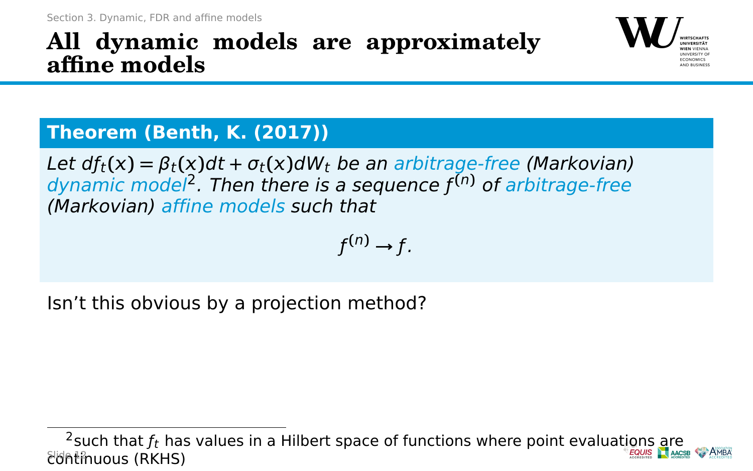### **All dynamic models are approximately affine models**



#### **Theorem (Benth, K. (2017))**

Let  $df_t(x) = \beta_t(x)dt + \sigma_t(x)dW_t$  be an arbitrage-free (Markovian) dynamic model<sup>2</sup> . Then there is a sequence ƒ **(**n**)** of arbitrage-free (Markovian) affine models such that

$$
f^{(n)}\to f.
$$

Isn't this obvious by a projection method?

<sup>&</sup>lt;sup>2</sup>such that  $f_t$  has values in a Hilbert space of functions where point evaluations are  $f_t$  and  $f_t$ continuous (RKHS)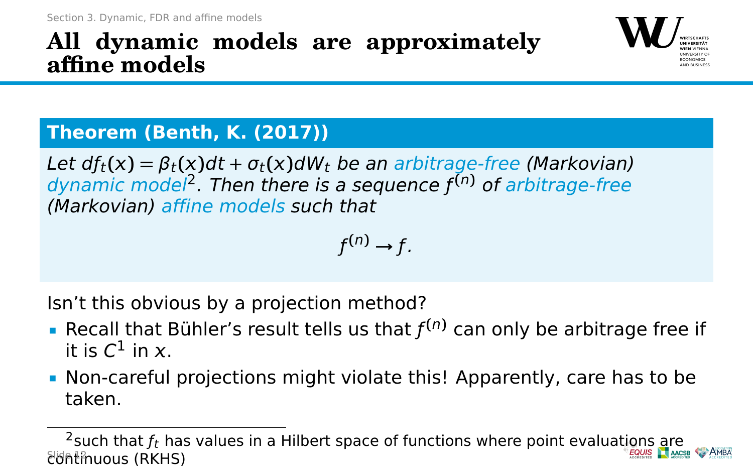### **All dynamic models are approximately affine models**



#### **Theorem (Benth, K. (2017))**

Let  $df_t(x) = \beta_t(x)dt + \sigma_t(x)dW_t$  be an arbitrage-free (Markovian) dynamic model<sup>2</sup> . Then there is a sequence ƒ **(**n**)** of arbitrage-free (Markovian) affine models such that

$$
f^{(n)} \to f.
$$

Isn't this obvious by a projection method?

- **Recall that Bühler's result tells us that**  $f^{(n)}$  **can only be arbitrage free if** it is  $C^1$  in x.
- Non-careful projections might violate this! Apparently, care has to be taken.

<sup>&</sup>lt;sup>2</sup>such that  $f_t$  has values in a Hilbert space of functions where point evaluations are  $f_t$  and  $f_t$ continuous (RKHS)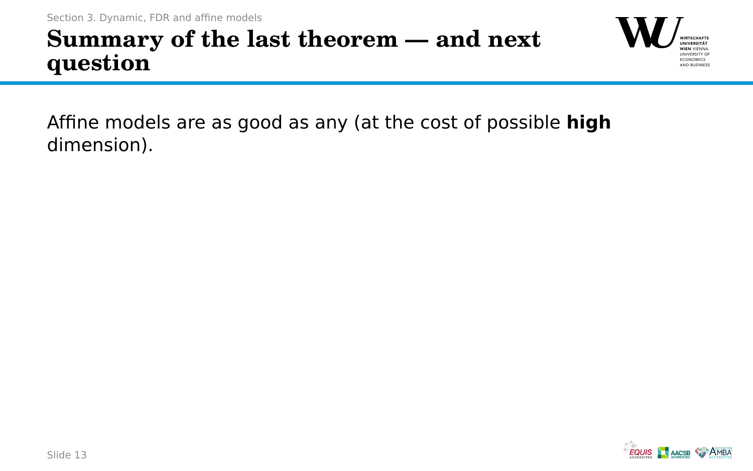

Affine models are as good as any (at the cost of possible **high** dimension).

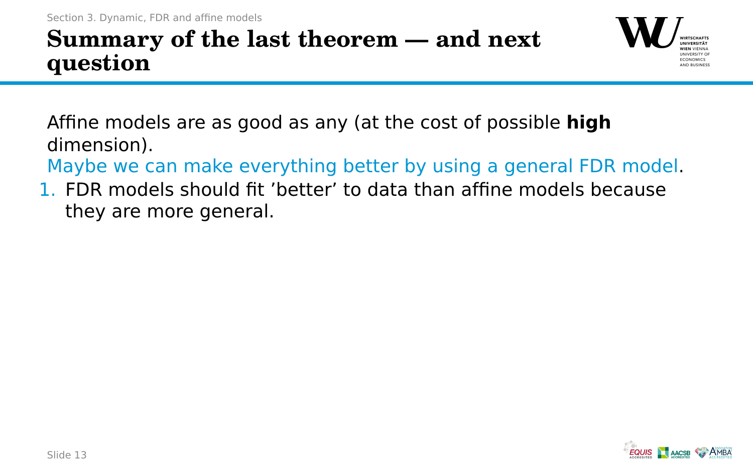

Affine models are as good as any (at the cost of possible **high** dimension).

Maybe we can make everything better by using a general FDR model.

1. FDR models should fit 'better' to data than affine models because they are more general.

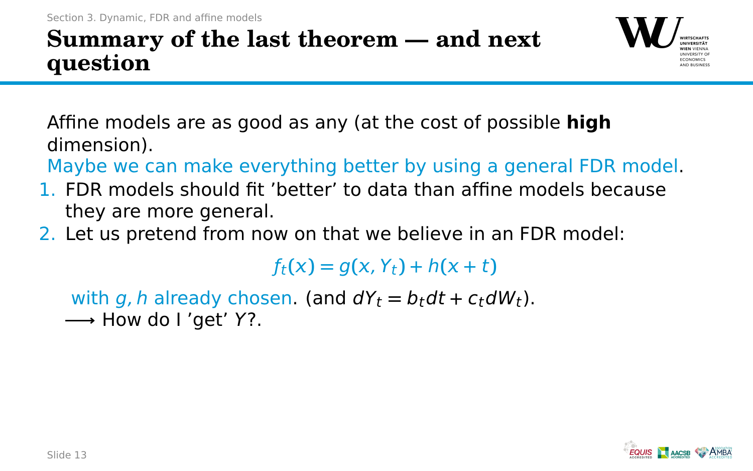

Affine models are as good as any (at the cost of possible **high** dimension).

Maybe we can make everything better by using a general FDR model.

- 1. FDR models should fit 'better' to data than affine models because they are more general.
- 2. Let us pretend from now on that we believe in an FDR model:

 $f_t(x) = g(x, Y_t) + h(x + t)$ 

with g, h already chosen. (and  $dY_t = b_t dt + c_t dW_t$ ). **−→** How do I 'get' Y?.

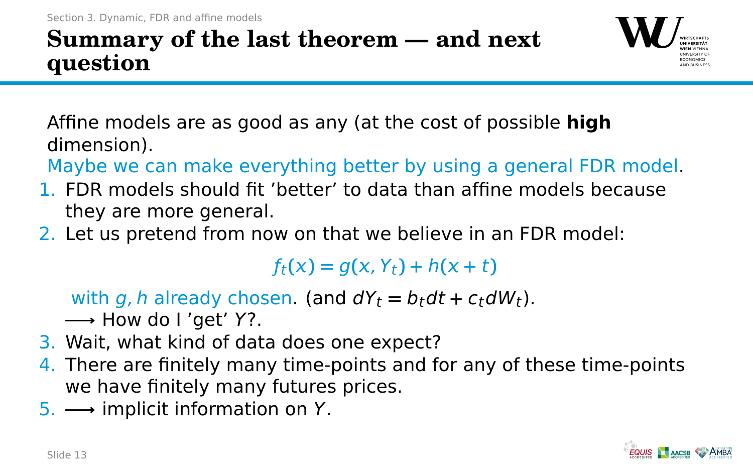

Affine models are as good as any (at the cost of possible **high** dimension).

Maybe we can make everything better by using a general FDR model.

- 1. FDR models should fit 'better' to data than affine models because they are more general.
- 2. Let us pretend from now on that we believe in an FDR model:

 $f_t(x) = g(x, Y_t) + h(x + t)$ 

with g, h already chosen. (and  $dY_t = b_t dt + c_t dW_t$ ).

**−→** How do I 'get' Y?.

- 3. Wait, what kind of data does one expect?
- 4. There are finitely many time-points and for any of these time-points we have finitely many futures prices.
- 5. **−→** implicit information on Y.

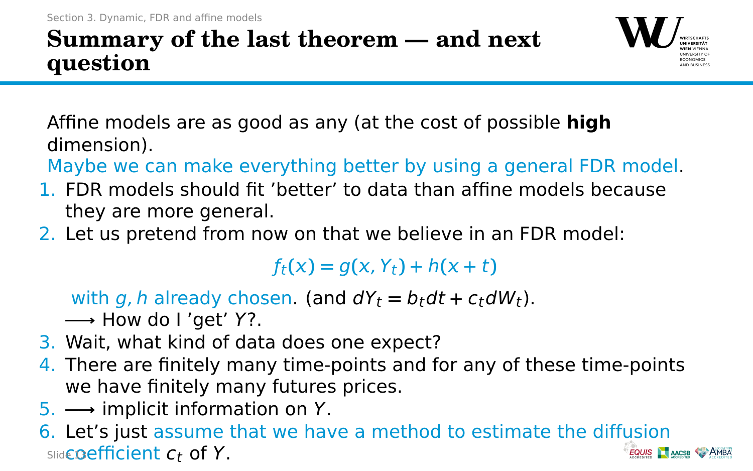

Affine models are as good as any (at the cost of possible **high** dimension).

Maybe we can make everything better by using a general FDR model.

- 1. FDR models should fit 'better' to data than affine models because they are more general.
- 2. Let us pretend from now on that we believe in an FDR model:

 $f_t(x) = g(x, Y_t) + h(x + t)$ 

with g, h already chosen. (and  $dY_t = b_t dt + c_t dW_t$ ).

**−→** How do I 'get' Y?.

- 3. Wait, what kind of data does one expect?
- 4. There are finitely many time-points and for any of these time-points we have finitely many futures prices.
- 5. **−→** implicit information on Y.
- 6. Let's just assume that we have a method to estimate the diffusion  $Sliad$ Coefficient  $c_t$  of Y. **EQUIS AACSB AMB**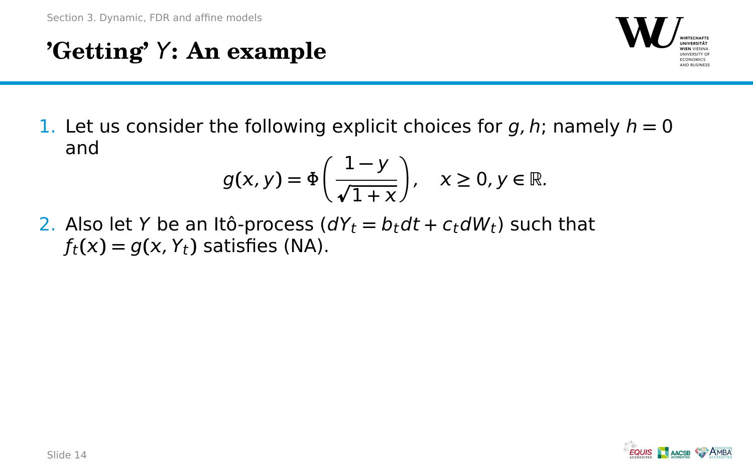## **'Getting'** Y**: An example**



1. Let us consider the following explicit choices for  $q, h$ ; namely  $h = 0$ and

$$
g(x, y) = \Phi\left(\frac{1-y}{\sqrt{1+x}}\right), \quad x \ge 0, y \in \mathbb{R}.
$$

2. Also let Y be an Itô-process  $(dY_t = b_t dt + c_t dW_t)$  such that  $f_t(x) = g(x, Y_t)$  satisfies (NA).

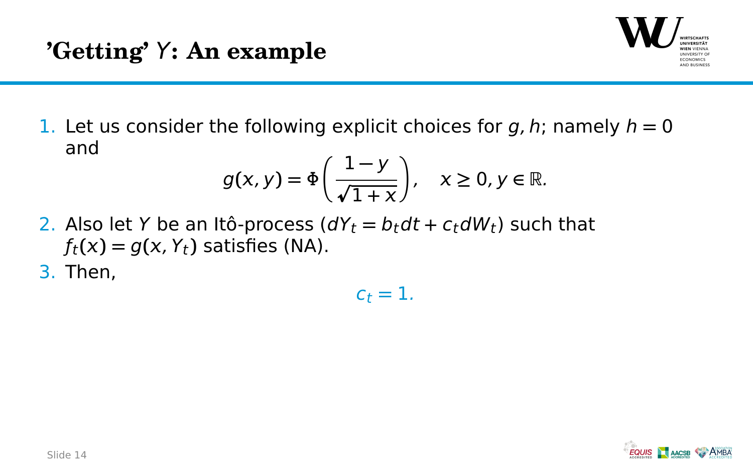

1. Let us consider the following explicit choices for  $q, h$ ; namely  $h = 0$ and

$$
g(x, y) = \Phi\left(\frac{1-y}{\sqrt{1+x}}\right), \quad x \ge 0, y \in \mathbb{R}.
$$

- 2. Also let Y be an Itô-process  $(dY_t = b_t dt + c_t dW_t)$  such that  $f_t(x) = g(x, Y_t)$  satisfies (NA).
- 3. Then,

 $c_t = 1$ .

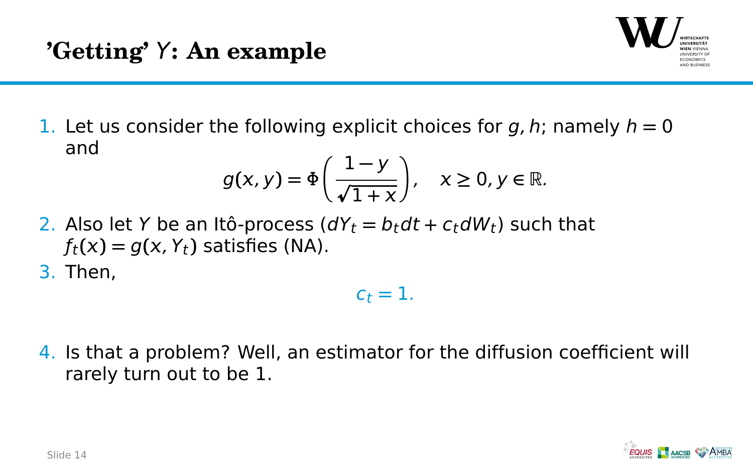

1. Let us consider the following explicit choices for  $q, h$ ; namely  $h = 0$ and

$$
g(x, y) = \Phi\left(\frac{1-y}{\sqrt{1+x}}\right), \quad x \ge 0, y \in \mathbb{R}.
$$

- 2. Also let Y be an Itô-process  $(dY_t = b_t dt + c_t dW_t)$  such that  $f_t(x) = g(x, Y_t)$  satisfies (NA).
- 3. Then,

$$
c_t=1.
$$

4. Is that a problem? Well, an estimator for the diffusion coefficient will rarely turn out to be 1.

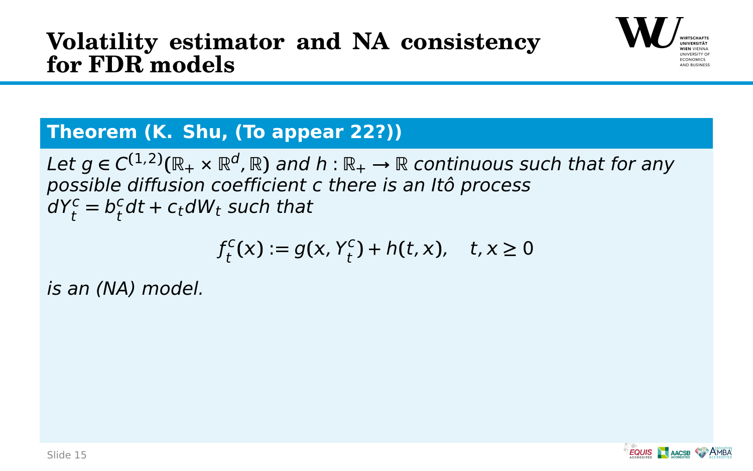### **Volatility estimator and NA consistency for FDR models**



#### **Theorem (K. Shu, (To appear 22?))**

Let  $g \in C^{(1,2)}(\mathbb{R}_+ \times \mathbb{R}^d, \mathbb{R})$  and  $h : \mathbb{R}_+ \to \mathbb{R}$  continuous such that for any possible diffusion coefficient c there is an Itô process  $dY_t^c = b_t^c$  $_t^{\mathsf{c}}$ dt + c<sub>t</sub>dW<sub>t</sub> such that

$$
f_t^c(x) := g(x, Y_t^c) + h(t, x), \quad t, x \ge 0
$$

is an (NA) model.

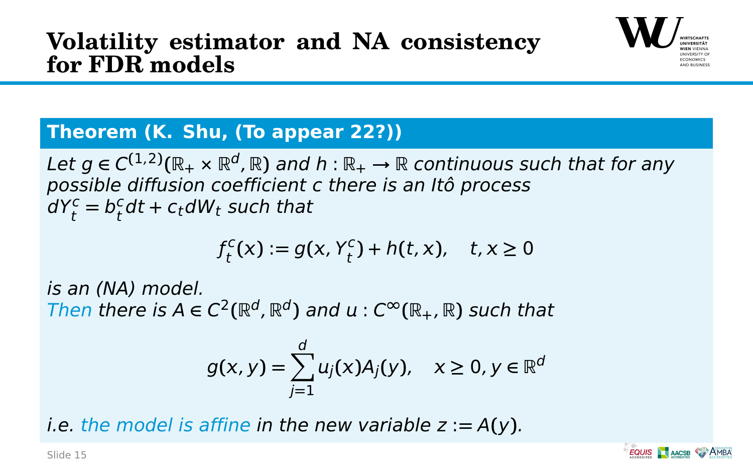### **Volatility estimator and NA consistency for FDR models**



#### **Theorem (K. Shu, (To appear 22?))**

Let  $g \in C^{(1,2)}(\mathbb{R}_+ \times \mathbb{R}^d, \mathbb{R})$  and  $h : \mathbb{R}_+ \to \mathbb{R}$  continuous such that for any possible diffusion coefficient c there is an Itô process  $dY_t^c = b_t^c$  $_t^{\mathsf{c}}$ dt + c<sub>t</sub>dW<sub>t</sub> such that

$$
f_t^c(x) := g(x, Y_t^c) + h(t, x), \quad t, x \ge 0
$$

is an (NA) model.  $\mathcal{T}$ hen there is  $A \in C^2(\mathbb{R}^d, \mathbb{R}^d)$  and  $u : C^\infty(\mathbb{R}_+, \mathbb{R})$  such that

$$
g(x, y) = \sum_{j=1}^d u_j(x) A_j(y), \quad x \ge 0, y \in \mathbb{R}^d
$$

i.e. the model is affine in the new variable  $z := A(y)$ .

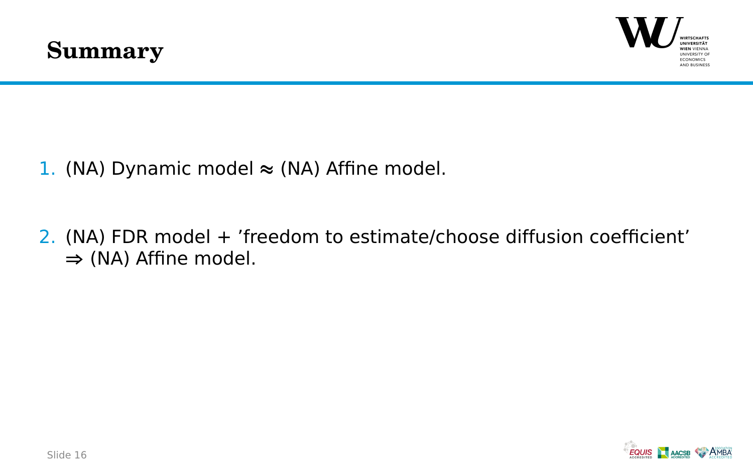



- 1. (NA) Dynamic model **≈** (NA) Affine model.
- 2. (NA) FDR model + 'freedom to estimate/choose diffusion coefficient' **⇒** (NA) Affine model.

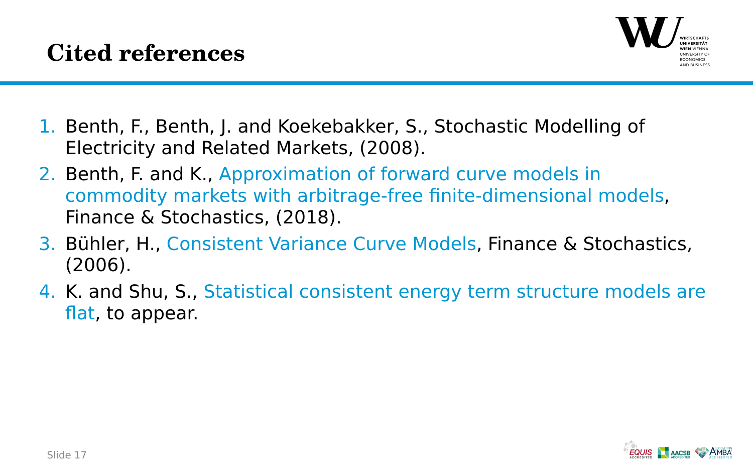

- 1. Benth, F., Benth, J. and Koekebakker, S., Stochastic Modelling of Electricity and Related Markets, (2008).
- 2. Benth, F. and K., Approximation of forward curve models in commodity markets with arbitrage-free finite-dimensional models, Finance & Stochastics, (2018).
- 3. Bühler, H., Consistent Variance Curve Models, Finance & Stochastics, (2006).
- 4. K. and Shu, S., Statistical consistent energy term structure models are flat, to appear.

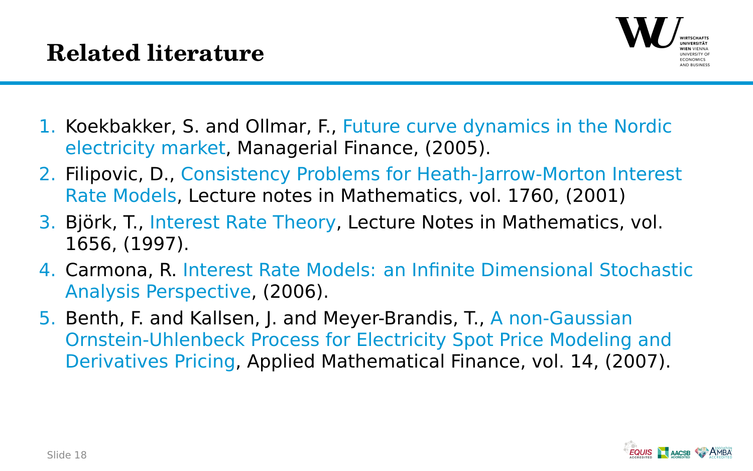

- 1. Koekbakker, S. and Ollmar, F., Future curve dynamics in the Nordic electricity market, Managerial Finance, (2005).
- 2. Filipovic, D., Consistency Problems for Heath-Jarrow-Morton Interest Rate Models, Lecture notes in Mathematics, vol. 1760, (2001)
- 3. Björk, T., Interest Rate Theory, Lecture Notes in Mathematics, vol. 1656, (1997).
- 4. Carmona, R. Interest Rate Models: an Infinite Dimensional Stochastic Analysis Perspective, (2006).
- 5. Benth, F. and Kallsen, J. and Meyer-Brandis, T., A non-Gaussian Ornstein-Uhlenbeck Process for Electricity Spot Price Modeling and Derivatives Pricing, Applied Mathematical Finance, vol. 14, (2007).